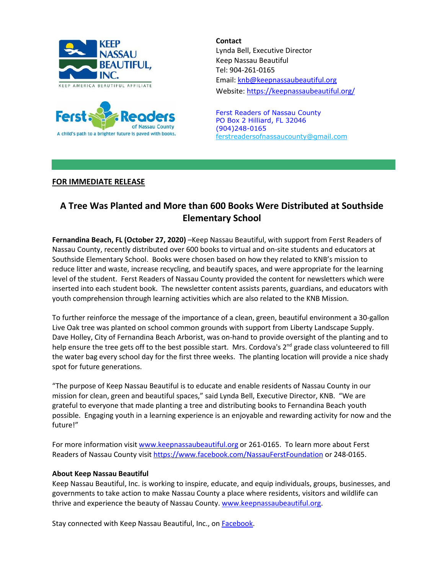



**Contact** Lynda Bell, Executive Director Keep Nassau Beautiful Tel: 904-261-0165 Email: [knb@keepnassaubeautiful.org](mailto:knb@keepnassaubeautiful.org) Website:<https://keepnassaubeautiful.org/>

Ferst Readers of Nassau County PO Box 2 Hilliard, FL 32046 (904)248-0165 [ferstreadersofnassaucounty@gmail.com](mailto:ferstreadersofnassaucounty@gmail.com)

## **FOR IMMEDIATE RELEASE**

## **A Tree Was Planted and More than 600 Books Were Distributed at Southside Elementary School**

**Fernandina Beach, FL (October 27, 2020)** –Keep Nassau Beautiful, with support from Ferst Readers of Nassau County, recently distributed over 600 books to virtual and on-site students and educators at Southside Elementary School. Books were chosen based on how they related to KNB's mission to reduce litter and waste, increase recycling, and beautify spaces, and were appropriate for the learning level of the student. Ferst Readers of Nassau County provided the content for newsletters which were inserted into each student book. The newsletter content assists parents, guardians, and educators with youth comprehension through learning activities which are also related to the KNB Mission.

To further reinforce the message of the importance of a clean, green, beautiful environment a 30-gallon Live Oak tree was planted on school common grounds with support from Liberty Landscape Supply. Dave Holley, City of Fernandina Beach Arborist, was on-hand to provide oversight of the planting and to help ensure the tree gets off to the best possible start. Mrs. Cordova's 2<sup>nd</sup> grade class volunteered to fill the water bag every school day for the first three weeks. The planting location will provide a nice shady spot for future generations.

"The purpose of Keep Nassau Beautiful is to educate and enable residents of Nassau County in our mission for clean, green and beautiful spaces," said Lynda Bell, Executive Director, KNB. "We are grateful to everyone that made planting a tree and distributing books to Fernandina Beach youth possible. Engaging youth in a learning experience is an enjoyable and rewarding activity for now and the future!"

For more information visit [www.keepnassaubeautiful.org](http://www.keepnassaubeautiful.org/) or 261-0165. To learn more about Ferst Readers of Nassau County visit <https://www.facebook.com/NassauFerstFoundation> or 248-0165.

## **About Keep Nassau Beautiful**

Keep Nassau Beautiful, Inc. is working to inspire, educate, and equip individuals, groups, businesses, and governments to take action to make Nassau County a place where residents, visitors and wildlife can thrive and experience the beauty of Nassau County. [www.keepnassaubeautiful.org.](http://www.keepnassaubeautiful.org/)

Stay connected with Keep Nassau Beautiful, Inc., on **Facebook**.